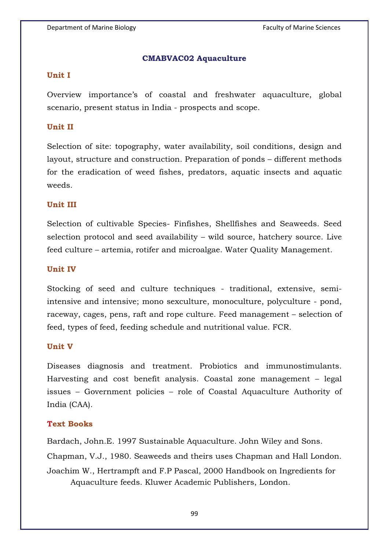## **CMABVAC02 Aquaculture**

## **Unit I**

Overview importance's of coastal and freshwater aquaculture, global scenario, present status in India - prospects and scope.

## **Unit II**

Selection of site: topography, water availability, soil conditions, design and layout, structure and construction. Preparation of ponds – different methods for the eradication of weed fishes, predators, aquatic insects and aquatic weeds.

## **Unit III**

Selection of cultivable Species- Finfishes, Shellfishes and Seaweeds. Seed selection protocol and seed availability – wild source, hatchery source. Live feed culture – artemia, rotifer and microalgae. Water Quality Management.

## **Unit IV**

Stocking of seed and culture techniques - traditional, extensive, semiintensive and intensive; mono sexculture, monoculture, polyculture - pond, raceway, cages, pens, raft and rope culture. Feed management – selection of feed, types of feed, feeding schedule and nutritional value. FCR.

#### **Unit V**

Diseases diagnosis and treatment. Probiotics and immunostimulants. Harvesting and cost benefit analysis. Coastal zone management – legal issues – Government policies – role of Coastal Aquaculture Authority of India (CAA).

# **Text Books**

Bardach, John.E. 1997 Sustainable Aquaculture. John Wiley and Sons. Chapman, V.J., 1980. Seaweeds and theirs uses Chapman and Hall London. Joachim W., Hertrampft and F.P Pascal, 2000 Handbook on Ingredients for Aquaculture feeds. Kluwer Academic Publishers, London.